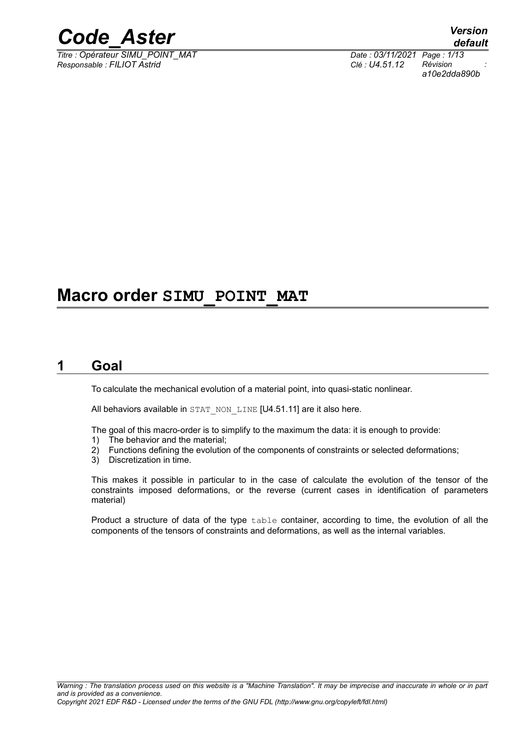

*Titre : Opérateur SIMU\_POINT\_MAT Date : 03/11/2021 Page : 1/13 Responsable : FILIOT Astrid Clé : U4.51.12 Révision :*

*a10e2dda890b*

## **Macro order SIMU\_POINT\_MAT**

### **1 Goal**

To calculate the mechanical evolution of a material point, into quasi-static nonlinear.

All behaviors available in STAT\_NON\_LINE [U4.51.11] are it also here.

The goal of this macro-order is to simplify to the maximum the data: it is enough to provide:

- 1) The behavior and the material;
- 2) Functions defining the evolution of the components of constraints or selected deformations;
- 3) Discretization in time.

This makes it possible in particular to in the case of calculate the evolution of the tensor of the constraints imposed deformations, or the reverse (current cases in identification of parameters material)

Product a structure of data of the type table container, according to time, the evolution of all the components of the tensors of constraints and deformations, as well as the internal variables.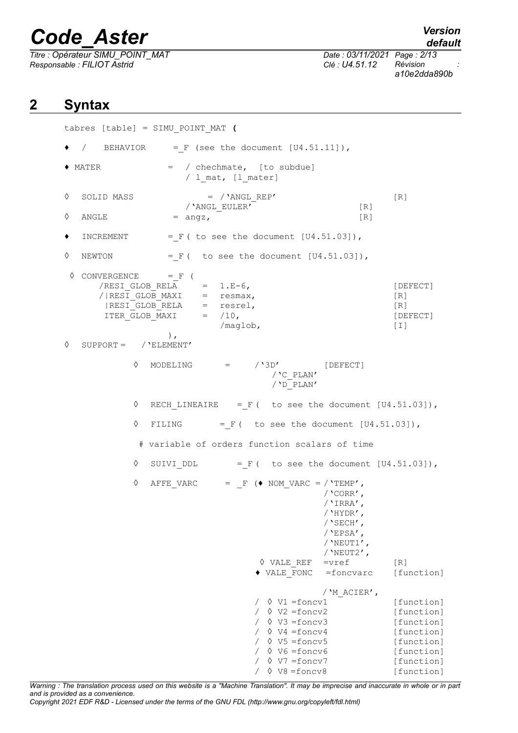*Titre : Opérateur SIMU\_POINT\_MAT Date : 03/11/2021 Page : 2/13 Responsable : FILIOT Astrid Clé : U4.51.12 Révision :*

*default a10e2dda890b*

## **2 Syntax**

tabres [table] = SIMU\_POINT\_MAT **(**  $/$  BEHAVIOR = F (see the document  $[U4.51.11]$ ), ♦ MATER = / chechmate, [to subdue]  $/$  1 mat, [1 mater]  $\Diamond$  SOLID MASS  $=$  /'ANGL REP' [R] /'ANGL\_EULER' [R]  $\Diamond$  ANGLE = angz,  $[R]$  $\bullet$  INCREMENT = F ( to see the document  $[U4.51.03]$ ),  $\Diamond$  NEWTON = F ( to see the document [U4.51.03]),  $\Diamond$  CONVERGENCE = F (  $/RESI$  GLOB  $RELA$  = 1.E-6,  $[DEFECT]$  $/$ |RESIGLOB\_MAXI = resmax,  $[R]$  $|RESI$  GLOB RELA = resrel,  $[R]$ ITER GLOB MAXI = /10, [DEFECT] /maglob, [I] ), ◊ SUPPORT = /'ELEMENT'  $\Diamond$  MODELING =  $/$ '3D' [DEFECT] /'C\_PLAN' /'D\_PLAN'  $\Diamond$  RECH LINEAIRE = F ( to see the document [U4.51.03]),  $\Diamond$  FILING = F ( to see the document [U4.51.03]), # variable of orders function scalars of time  $\Diamond$  SUIVI DDL = F ( to see the document  $[U4.51.03]$ ), ◊ AFFE\_VARC = \_F (**♦** NOM\_VARC = /'TEMP', /'CORR', /'IRRA', /'HYDR', /'SECH', /'EPSA', /'NEUT1', / $'$ NEUT2', **◊** VALE\_REF =vref [R] **♦** VALE\_FONC =foncvarc [function] /'M\_ACIER', / ◊ V1 =foncv1 [function] / ◊ V2 =foncv2 [function] / ◊ V3 =foncv3 [function] / ◊ V4 =foncv4 [function] / ◊ V5 =foncv5 [function] / ◊ V6 =foncv6 [function] / ◊ V7 =foncv7 [function] / ◊ V8 =foncv8 [function]

*Warning : The translation process used on this website is a "Machine Translation". It may be imprecise and inaccurate in whole or in part and is provided as a convenience.*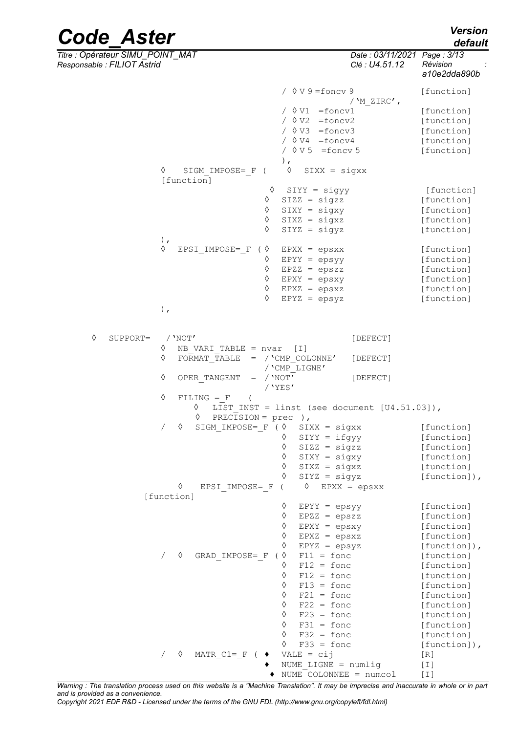*default*

*Titre : Opérateur SIMU\_POINT\_MAT Date : 03/11/2021 Page : 3/13 Responsable : FILIOT Astrid Clé : U4.51.12 Révision :*

|               |                                     |                                                                                                                                        | a10e2dda890b                                                       |
|---------------|-------------------------------------|----------------------------------------------------------------------------------------------------------------------------------------|--------------------------------------------------------------------|
|               |                                     | $\sqrt{0} \text{V} 9 = \text{foncv} 9$<br>/ $'M$ ZIRC',                                                                                | [function]                                                         |
|               |                                     | $\sqrt{V1}$ =foncv1<br>$\sqrt{0 V2}$ =foncv2<br>$\sqrt{8 V3}$ =foncv3<br>/ $\Diamond$ V4 = foncv4<br>$\sqrt{8 V 5}$ = foncv 5<br>$)$ , | [function]<br>[function]<br>[function]<br>[function]<br>[function] |
|               | ♦<br>SIGM IMPOSE= F (<br>[function] | ♦<br>$SIXX = sigXX$                                                                                                                    |                                                                    |
|               | ♦                                   |                                                                                                                                        |                                                                    |
|               | ♦                                   | $SIYY = sigyy$                                                                                                                         | [function]                                                         |
|               |                                     | $SIZZ = sigzz$                                                                                                                         | [function]                                                         |
|               | ♦                                   | $SIXY = sigxy$                                                                                                                         | [function]                                                         |
|               | ♦                                   | $SIXZ = sigXZ$                                                                                                                         | [function]                                                         |
|               | ♦<br>$)$ ,                          | $SIYZ = sigyz$                                                                                                                         | [function]                                                         |
|               | ♦<br>EPSI IMPOSE= F                 | $(\Diamond$ EPXX = epsxx                                                                                                               | [function]                                                         |
|               | ♦                                   | $EPYY = epsyY$                                                                                                                         | [function]                                                         |
|               | ♦                                   | $EPZZ = epszz$                                                                                                                         | [function]                                                         |
|               | $\Diamond$                          | $EPXY = epaxy$                                                                                                                         | [function]                                                         |
|               | ♦                                   | $EPXZ = epsxz$                                                                                                                         | [function]                                                         |
|               | ♦                                   | $EPYZ = epsyZ$                                                                                                                         | [function]                                                         |
|               | $)$ ,                               |                                                                                                                                        |                                                                    |
|               |                                     |                                                                                                                                        |                                                                    |
|               |                                     |                                                                                                                                        |                                                                    |
| ♦<br>SUPPORT= | $/$ 'NOT'                           | [DEFECT]                                                                                                                               |                                                                    |
|               | ♦<br>NB VARI TABLE = $nvar$ [I]     |                                                                                                                                        |                                                                    |
|               | ♦<br>FORMAT TABLE                   | $=$ / 'CMP COLONNE'<br>[DEFECT]                                                                                                        |                                                                    |
|               |                                     | / 'CMP LIGNE'                                                                                                                          |                                                                    |
|               | ♦<br>$=$ / 'NOT'<br>OPER TANGENT    | [DEFECT]<br>$/$ 'YES'                                                                                                                  |                                                                    |
|               | ♦<br>$FILING = F$                   |                                                                                                                                        |                                                                    |
|               | ♦                                   | LIST INST = linst (see document $[U4.51.03]$ ),                                                                                        |                                                                    |
|               | PRECISION = $prec$ ),<br>♦          |                                                                                                                                        |                                                                    |
|               | ♦<br>$\sqrt{2}$                     | SIGM IMPOSE= $F (\> SIXX = sigXX)$                                                                                                     | [function]                                                         |
|               |                                     | $SIYY = ifgyy$<br>♦                                                                                                                    | [function]                                                         |
|               |                                     | $SIZZ = sigzz$<br>♦                                                                                                                    | [function]                                                         |
|               |                                     | $\Diamond$<br>$SIXY = sigxy$                                                                                                           | [function]                                                         |
|               |                                     | ♦<br>$SIXZ = sigxz$                                                                                                                    | [function]                                                         |
|               |                                     | ♦<br>$SIYZ = sigyz$                                                                                                                    | $[function]$ ,                                                     |
|               | ♦<br>EPSI IMPOSE= F                 | ♦<br>$EPXX = epsxx$                                                                                                                    |                                                                    |
|               | [function]                          |                                                                                                                                        |                                                                    |
|               |                                     | ♦<br>$EPYY = epsyY$                                                                                                                    | [function]                                                         |
|               |                                     | ♦<br>$EPZZ = epszz$                                                                                                                    | [function]                                                         |
|               |                                     | ♦<br>$EPXY = epsxy$                                                                                                                    | [function]                                                         |
|               |                                     | ♦<br>$EPXZ = epsxz$                                                                                                                    | [function]                                                         |
|               |                                     | ♦<br>$EPYZ = epsyZ$                                                                                                                    | [function]),                                                       |
|               | GRAD IMPOSE= F<br>♦                 | $\langle \rangle$<br>$F11 = f$ onc                                                                                                     | [function]                                                         |
|               |                                     | $F12 = f$ onc<br>♦                                                                                                                     | [function]                                                         |
|               |                                     | ♦<br>$F12 = f$ onc                                                                                                                     | [function]                                                         |
|               |                                     | ♦<br>$F13 = f$ onc                                                                                                                     | [function]                                                         |
|               |                                     | ♦<br>$F21 = f$ onc                                                                                                                     | [function]                                                         |
|               |                                     | ♦<br>$F22 = f$ onc                                                                                                                     | [function]                                                         |
|               |                                     | ♦<br>$F23 = f$ onc                                                                                                                     | [function]                                                         |
|               |                                     | ♦<br>$F31 = f$ onc                                                                                                                     | [function]                                                         |
|               |                                     | ♦<br>$F32 = f$ onc                                                                                                                     | [function]                                                         |
|               |                                     | $F33 = f$ onc<br>♦                                                                                                                     | [function]),                                                       |
|               | ♦<br>MATR $C1 = F$ (<br>$\sqrt{2}$  | $VALE = cij$                                                                                                                           | [R]                                                                |
|               |                                     | NUME LIGNE = $numlig$                                                                                                                  | [T]                                                                |
|               |                                     |                                                                                                                                        |                                                                    |

*Warning : The translation process used on this website is a "Machine Translation". It may be imprecise and inaccurate in whole or in part and is provided as a convenience.*

♦ NUME\_COLONNEE = numcol [I]

*Copyright 2021 EDF R&D - Licensed under the terms of the GNU FDL (http://www.gnu.org/copyleft/fdl.html)*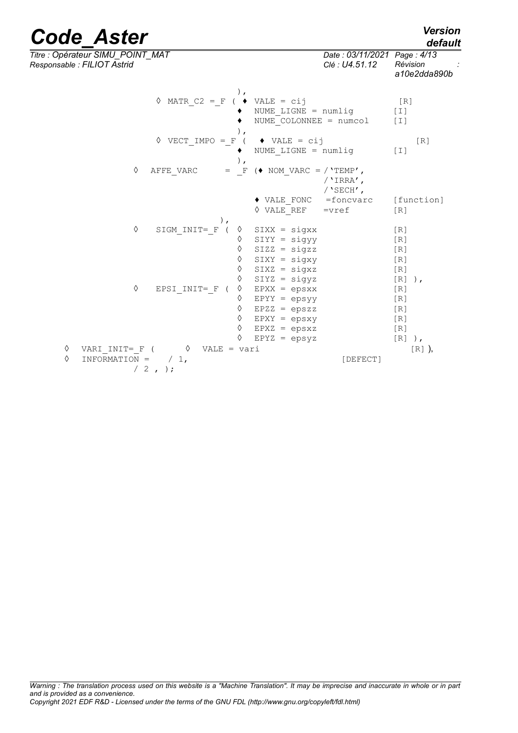## *default*

*Titre : Opérateur SIMU\_POINT\_MAT Date : 03/11/2021 Page : 4/13 Responsable : FILIOT Astrid Clé : U4.51.12 Révision :*

*a10e2dda890b*

| $\, \cdot \,$<br>$\Diamond$ MATR C2 = F            | $(\bullet \text{VALE} = \text{cij})$          | [R]             |
|----------------------------------------------------|-----------------------------------------------|-----------------|
|                                                    | NUME LIGNE = numlig<br>NUME COLONNEE = numcol | $[1]$<br>[I]    |
| $\rightarrow$                                      |                                               |                 |
| $\Diamond$ VECT IMPO = F (                         | $\blacklozenge$ VALE = cij                    | [R]             |
|                                                    | NUME LIGNE = numlig                           | $[1]$           |
| $)$ ,                                              |                                               |                 |
| AFFE VARC<br>♦<br>$=$ F                            | $\leftrightarrow$ NOM VARC = $/$ 'TEMP',      |                 |
|                                                    | / 'IRRA',<br>/ $'SECH'$ ,                     |                 |
|                                                    | ◆ VALE FONC =foncvarc                         | [function]      |
|                                                    | $\Diamond$ VALE REF<br>$=$ vref               | [R]             |
|                                                    |                                               |                 |
| ♦<br>SIGM INIT= F<br>♦                             | $SIXX = sigXX$                                | [R]             |
| ♦                                                  | $SIYY = sigyy$                                | [R]             |
| ♦                                                  | $SIZZ = sigzz$                                | [R]             |
| ♦<br>♦                                             | $SIXY = sigxy$                                | [R]             |
| ♦                                                  | $SIXZ = sigXZ$<br>$SIYZ = sigyz$              | [R]             |
| ♦<br>♦<br>EPSI INIT= F (                           | $EPXX = epsxx$                                | $[R]$ ),<br>[R] |
| ♦                                                  | $EPYY = epsyY$                                | [R]             |
| ♦                                                  | $EPZZ = epszz$                                | [R]             |
| ♦                                                  | $EPXY = epsxy$                                | [R]             |
| ♦                                                  | $EPXZ = epsxz$                                | [R]             |
| ♦                                                  | $EPYZ = epsyZ$                                | [R]<br>),       |
| ♦<br>VARI INIT= F (<br>$\Diamond$<br>$VALE = vari$ |                                               | $[R]$ ),        |
| ♦<br>INFORMATION =<br>$/1$ ,                       | [DEFECT]                                      |                 |
| $/2$ , );                                          |                                               |                 |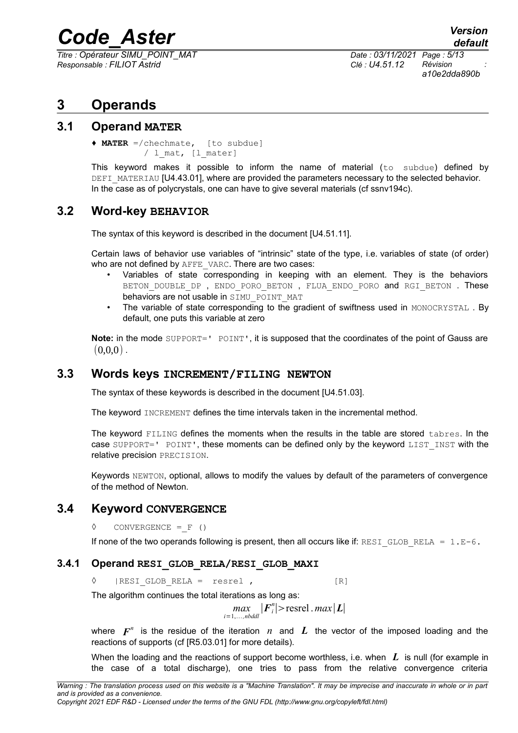*Titre : Opérateur SIMU\_POINT\_MAT Date : 03/11/2021 Page : 5/13 Responsable : FILIOT Astrid Clé : U4.51.12 Révision :*

*a10e2dda890b*

## **3 Operands**

#### **3.1 Operand MATER**

♦ **MATER** =/chechmate, [to subdue]  $/$  1 mat,  $[1$  mater]

This keyword makes it possible to inform the name of material (to subdue) defined by DEFI\_MATERIAU [U4.43.01], where are provided the parameters necessary to the selected behavior. In the case as of polycrystals, one can have to give several materials (cf ssnv194c).

### **3.2 Word-key BEHAVIOR**

The syntax of this keyword is described in the document [U4.51.11].

Certain laws of behavior use variables of "intrinsic" state of the type, i.e. variables of state (of order) who are not defined by AFFE\_VARC. There are two cases:

- Variables of state corresponding in keeping with an element. They is the behaviors BETON DOUBLE DP, ENDO PORO BETON, FLUA ENDO PORO and RGI BETON. These behaviors are not usable in SIMU\_POINT\_MAT
- The variable of state corresponding to the gradient of swiftness used in MONOCRYSTAL. By default, one puts this variable at zero

**Note:** in the mode SUPPORT=' POINT', it is supposed that the coordinates of the point of Gauss are  $(0,0,0)$ .

#### **3.3 Words keys INCREMENT/FILING NEWTON**

The syntax of these keywords is described in the document [U4.51.03].

The keyword INCREMENT defines the time intervals taken in the incremental method.

The keyword FILING defines the moments when the results in the table are stored tabres. In the case SUPPORT=' POINT', these moments can be defined only by the keyword LIST INST with the relative precision PRECISION.

Keywords NEWTON, optional, allows to modify the values by default of the parameters of convergence of the method of Newton.

#### **3.4 Keyword CONVERGENCE**

**◊** CONVERGENCE =\_F ()

If none of the two operands following is present, then all occurs like if: RESI GLOB RELA =  $1.E-6$ .

#### **3.4.1 Operand RESI\_GLOB\_RELA/RESI\_GLOB\_MAXI**

◊ |RESI\_GLOB\_RELA = resrel , [R]

The algorithm continues the total iterations as long as:

$$
\max_{i=1,\ldots,nodd}|\boldsymbol{F}_{i}^{n}|>\text{resrel} \cdot max|\boldsymbol{L}|
$$

where  $\boldsymbol{F}^n$  is the residue of the iteration  $\,n\,$  and  $\,$  L the vector of the imposed loading and the reactions of supports (cf [R5.03.01] for more details).

When the loading and the reactions of support become worthless, i.e. when **L** is null (for example in the case of a total discharge), one tries to pass from the relative convergence criteria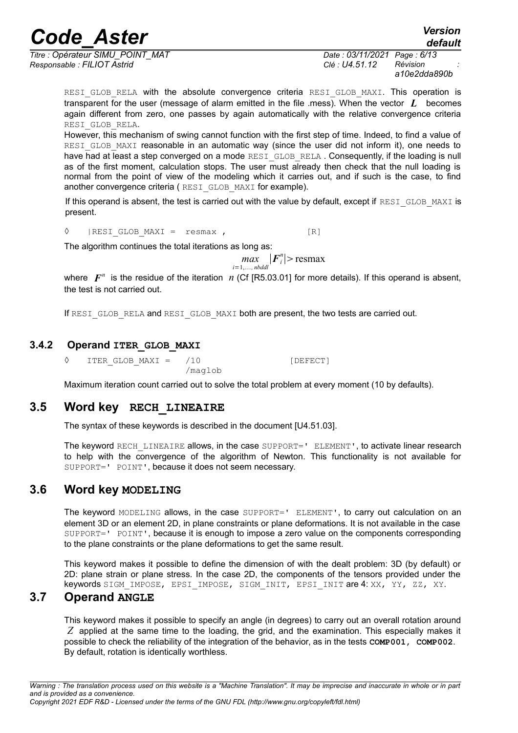*Titre : Opérateur SIMU\_POINT\_MAT Date : 03/11/2021 Page : 6/13 Responsable : FILIOT Astrid Clé : U4.51.12 Révision :*

*default*

*a10e2dda890b*

RESI GLOB RELA with the absolute convergence criteria RESI GLOB MAXI. This operation is transparent for the user (message of alarm emitted in the file .mess). When the vector *L* becomes again different from zero, one passes by again automatically with the relative convergence criteria RESI\_GLOB\_RELA.

However, this mechanism of swing cannot function with the first step of time. Indeed, to find a value of RESI GLOB MAXI reasonable in an automatic way (since the user did not inform it), one needs to have had at least a step converged on a mode RESI GLOB RELA. Consequently, if the loading is null as of the first moment, calculation stops. The user must already then check that the null loading is normal from the point of view of the modeling which it carries out, and if such is the case, to find another convergence criteria (RESI GLOB MAXI for example).

If this operand is absent, the test is carried out with the value by default, except if RESI\_GLOB\_MAXI is present.

◊ |RESI\_GLOB\_MAXI = resmax , [R]

The algorithm continues the total iterations as long as:

 $max_{i=1,\dots, nbddl}$   $|F_i^n|$  > resmax

where  $\mathbf{F}^n$  is the residue of the iteration  $n$  (Cf [R5.03.01] for more details). If this operand is absent, the test is not carried out.

If RESI GLOB RELA and RESI GLOB MAXI both are present, the two tests are carried out.

#### **3.4.2 Operand ITER\_GLOB\_MAXI**

 $\sqrt{10}$  [DEFECT] /maglob

Maximum iteration count carried out to solve the total problem at every moment (10 by defaults).

#### **3.5 Word key RECH\_LINEAIRE**

The syntax of these keywords is described in the document [U4.51.03].

The keyword RECH LINEAIRE allows, in the case SUPPORT=' ELEMENT', to activate linear research to help with the convergence of the algorithm of Newton. This functionality is not available for SUPPORT=' POINT', because it does not seem necessary.

#### **3.6 Word key MODELING**

The keyword MODELING allows, in the case SUPPORT=' ELEMENT', to carry out calculation on an element 3D or an element 2D, in plane constraints or plane deformations. It is not available in the case SUPPORT=' POINT', because it is enough to impose a zero value on the components corresponding to the plane constraints or the plane deformations to get the same result.

This keyword makes it possible to define the dimension of with the dealt problem: 3D (by default) or 2D: plane strain or plane stress. In the case 2D, the components of the tensors provided under the keywords SIGM\_IMPOSE, EPSI\_IMPOSE, SIGM\_INIT, EPSI\_INIT are 4: XX, YY, ZZ, XY.

#### **3.7 Operand ANGLE**

This keyword makes it possible to specify an angle (in degrees) to carry out an overall rotation around *Z* applied at the same time to the loading, the grid, and the examination. This especially makes it possible to check the reliability of the integration of the behavior, as in the tests **COMP001, COMP002**. By default, rotation is identically worthless.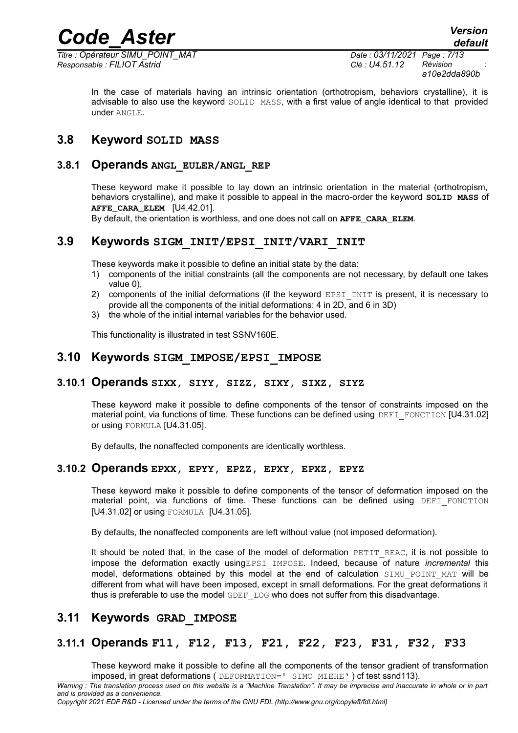*Code\_Aster Version Titre : Opérateur SIMU\_POINT\_MAT Date : 03/11/2021 Page : 7/13*

*Responsable : FILIOT Astrid Clé : U4.51.12 Révision :*

*a10e2dda890b*

In the case of materials having an intrinsic orientation (orthotropism, behaviors crystalline), it is advisable to also use the keyword SOLID MASS, with a first value of angle identical to that provided under ANGLE.

#### **3.8 Keyword SOLID MASS**

#### **3.8.1 Operands ANGL\_EULER/ANGL\_REP**

These keyword make it possible to lay down an intrinsic orientation in the material (orthotropism, behaviors crystalline), and make it possible to appeal in the macro-order the keyword **SOLID MASS** of **AFFE CARA ELEM [U4.42.01].** 

By default, the orientation is worthless, and one does not call on **AFFE** CARA ELEM.

#### **3.9 Keywords SIGM\_INIT/EPSI\_INIT/VARI\_INIT**

These keywords make it possible to define an initial state by the data:

- 1) components of the initial constraints (all the components are not necessary, by default one takes value 0),
- 2) components of the initial deformations (if the keyword EPSI\_INIT is present, it is necessary to provide all the components of the initial deformations: 4 in 2D, and 6 in 3D)
- 3) the whole of the initial internal variables for the behavior used.

This functionality is illustrated in test SSNV160E.

#### **3.10 Keywords SIGM\_IMPOSE/EPSI\_IMPOSE**

#### **3.10.1 Operands SIXX, SIYY, SIZZ, SIXY, SIXZ, SIYZ**

These keyword make it possible to define components of the tensor of constraints imposed on the material point, via functions of time. These functions can be defined using DEFI\_FONCTION [U4.31.02] or using FORMULA [U4.31.05].

By defaults, the nonaffected components are identically worthless.

#### **3.10.2 Operands EPXX, EPYY, EPZZ, EPXY, EPXZ, EPYZ**

These keyword make it possible to define components of the tensor of deformation imposed on the material point, via functions of time. These functions can be defined using DEFI FONCTION [U4.31.02] or using FORMULA [U4.31.05].

By defaults, the nonaffected components are left without value (not imposed deformation).

It should be noted that, in the case of the model of deformation PETIT REAC, it is not possible to impose the deformation exactly usingEPSI\_IMPOSE. Indeed, because of nature *incremental* this model, deformations obtained by this model at the end of calculation SIMU POINT MAT will be different from what will have been imposed, except in small deformations. For the great deformations it thus is preferable to use the model GDEF LOG who does not suffer from this disadvantage.

#### **3.11 Keywords GRAD\_IMPOSE**

#### **3.11.1 Operands F11, F12, F13, F21, F22, F23, F31, F32, F33**

These keyword make it possible to define all the components of the tensor gradient of transformation imposed, in great deformations ( DEFORMATION=' SIMO\_MIEHE' ) cf test ssnd113).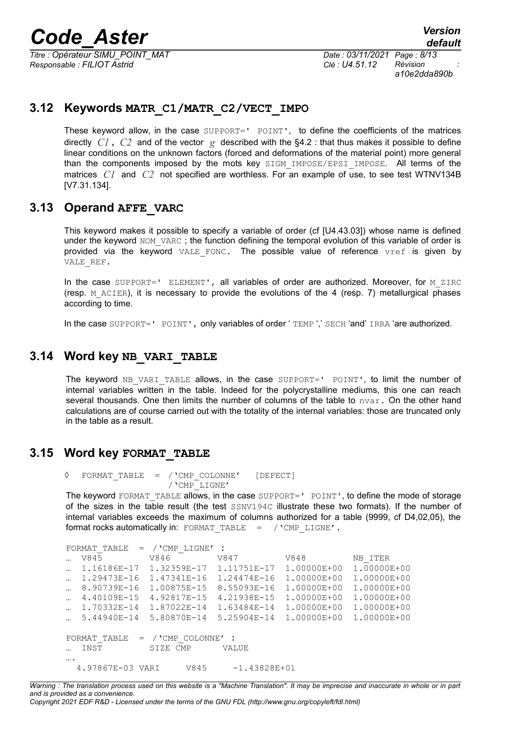*Titre : Opérateur SIMU\_POINT\_MAT Date : 03/11/2021 Page : 8/13 Responsable : FILIOT Astrid Clé : U4.51.12 Révision :*

*a10e2dda890b*

#### **3.12 Keywords MATR\_C1/MATR\_C2/VECT\_IMPO**

These keyword allow, in the case SUPPORT=' POINT', to define the coefficients of the matrices directly  $CI$ ,  $C2$  and of the vector  $g$  described with the [§4.2](#page-9-0) : that thus makes it possible to define linear conditions on the unknown factors (forced and deformations of the material point) more general than the components imposed by the mots key SIGM IMPOSE/EPSI IMPOSE. All terms of the matrices *C1* and *C2* not specified are worthless. For an example of use, to see test WTNV134B [V7.31.134].

#### **3.13 Operand AFFE\_VARC**

This keyword makes it possible to specify a variable of order (cf [U4.43.03]) whose name is defined under the keyword NOM VARC ; the function defining the temporal evolution of this variable of order is provided via the keyword VALE FONC. The possible value of reference vref is given by VALE\_REF.

In the case SUPPORT=' ELEMENT', all variables of order are authorized. Moreover, for M\_ZIRC (resp.  $M$  ACIER), it is necessary to provide the evolutions of the 4 (resp. 7) metallurgical phases according to time.

In the case SUPPORT=' POINT', only variables of order ' TEMP ',' SECH 'and' IRRA 'are authorized.

#### **3.14 Word key NB\_VARI\_TABLE**

The keyword NB VARI TABLE allows, in the case  $SUBPORT='$  POINT', to limit the number of internal variables written in the table. Indeed for the polycrystalline mediums, this one can reach several thousands. One then limits the number of columns of the table to  $\Delta x$ . On the other hand calculations are of course carried out with the totality of the internal variables: those are truncated only in the table as a result.

#### **3.15 Word key FORMAT\_TABLE**

```
◊ FORMAT_TABLE = /'CMP_COLONNE' [DEFECT] 
                   /'CMP_LIGNE'
```
The keyword FORMAT TABLE allows, in the case SUPPORT=' POINT', to define the mode of storage of the sizes in the table result (the test SSNV194C illustrate these two formats). If the number of internal variables exceeds the maximum of columns authorized for a table (9999, cf D4,02,05), the format rocks automatically in: FORMAT\_TABLE = /'CMP\_LIGNE'.

```
FORMAT TABLE = / 'CMP LIGNE' :
… V845 V846 V847 V848 NB ITER
… 1.16186E-17 1.32359E-17 1.11751E-17 1.00000E+00 1.00000E+00
… 1.29473E-16 1.47341E-16 1.24474E-16 1.00000E+00 1.00000E+00
… 8.90739E-16 1.00875E-15 8.55093E-16 1.00000E+00 1.00000E+00
… 4.40109E-15 4.92817E-15 4.21938E-15 1.00000E+00 1.00000E+00
… 1.70332E-14 1.87022E-14 1.63484E-14 1.00000E+00 1.00000E+00
… 5.44940E-14 5.80870E-14 5.25904E-14 1.00000E+00 1.00000E+00
FORMAT TABLE = / 'CMP COLONNE' :
… INST SIZE CMP VALUE 
….
  4.97867E-03 VARI V845 -1.43828E+01
```
*Warning : The translation process used on this website is a "Machine Translation". It may be imprecise and inaccurate in whole or in part and is provided as a convenience.*

*Copyright 2021 EDF R&D - Licensed under the terms of the GNU FDL (http://www.gnu.org/copyleft/fdl.html)*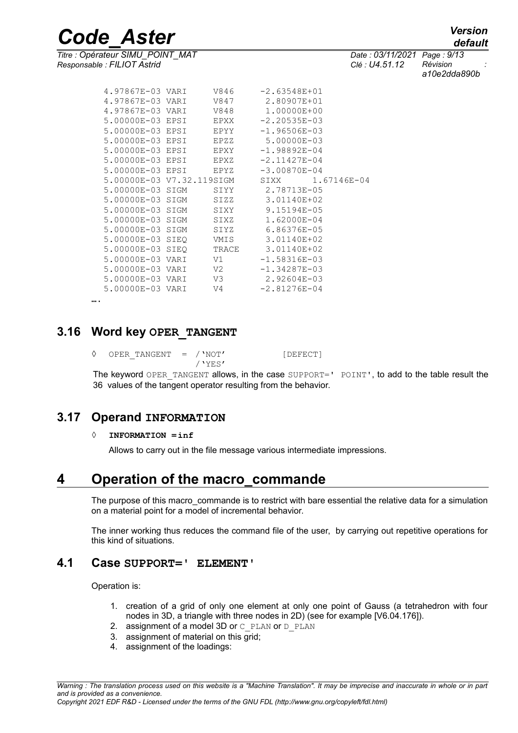*Titre : Opérateur SIMU\_POINT\_MAT Date : 03/11/2021 Page : 9/13 Responsable : FILIOT Astrid Clé : U4.51.12 Révision :*

*default*

*a10e2dda890b*

| 4.97867E-03 VARI          |      | V846        | $-2.63548E + 01$ |                  |
|---------------------------|------|-------------|------------------|------------------|
| 4.97867E-03 VARI          |      | V847        | 2.80907E+01      |                  |
| 4.97867E-03 VARI          |      | V848        | 1,00000E+00      |                  |
| 5.00000E-03 EPSI          |      | EPXX        | $-2.20535E - 03$ |                  |
| 5.00000E-03 EPSI          |      | <b>EPYY</b> | $-1.96506E - 03$ |                  |
| 5.00000E-03 EPSI          |      | EPZZ        | 5.00000E-03      |                  |
| 5.00000E-03 EPSI          |      | EPXY        | $-1.98892E - 04$ |                  |
| 5.00000E-03 EPSI          |      | EPXZ        | $-2.11427E - 04$ |                  |
| 5.00000E-03 EPSI          |      | EPYZ        | $-3.00870E - 04$ |                  |
| 5.00000E-03 V7.32.119SIGM |      |             |                  | SIXX 1.67146E-04 |
| 5.00000E-03 SIGM          |      | SIYY        | 2.78713E-05      |                  |
| 5.00000E-03 SIGM          |      | SIZZ        | 3.01140E+02      |                  |
| 5.00000E-03 SIGM          |      | SIXY        | 9.15194E-05      |                  |
| 5.00000E-03 SIGM          |      | STXZ        | $1.62000E - 04$  |                  |
| 5.00000E-03 SIGM          |      | SIYZ        | 6.86376E-05      |                  |
| 5.00000E-03 SIEO          |      | VMIS        | 3.01140E+02      |                  |
| 5.00000E-03               | SIEO | TRACE       | 3.01140E+02      |                  |
| 5.00000E-03 VARI          |      | V1          | $-1.58316E - 03$ |                  |
| 5.00000E-03 VARI          |      | V2          | $-1.34287E - 03$ |                  |
| 5.00000E-03 VARI          |      | V3          | 2.92604E-03      |                  |
| 5.00000E-03 VARI          |      | V4          | $-2.81276E - 04$ |                  |
|                           |      |             |                  |                  |

….

#### **3.16 Word key OPER\_TANGENT**

◊ OPER\_TANGENT = /'NOT' [DEFECT] /'YES'

The keyword OPER TANGENT allows, in the case SUPPORT=' POINT', to add to the table result the 36 values of the tangent operator resulting from the behavior.

#### **3.17 Operand INFORMATION**

#### **◊ INFORMATION =inf**

Allows to carry out in the file message various intermediate impressions.

### **4 Operation of the macro\_commande**

The purpose of this macro commande is to restrict with bare essential the relative data for a simulation on a material point for a model of incremental behavior.

The inner working thus reduces the command file of the user, by carrying out repetitive operations for this kind of situations.

#### **4.1 Case SUPPORT=' ELEMENT'**

Operation is:

- 1. creation of a grid of only one element at only one point of Gauss (a tetrahedron with four nodes in 3D, a triangle with three nodes in 2D) (see for example [V6.04.176]).
- 2. assignment of a model 3D or  $C$  PLAN or D\_PLAN
- 3. assignment of material on this grid;
- 4. assignment of the loadings: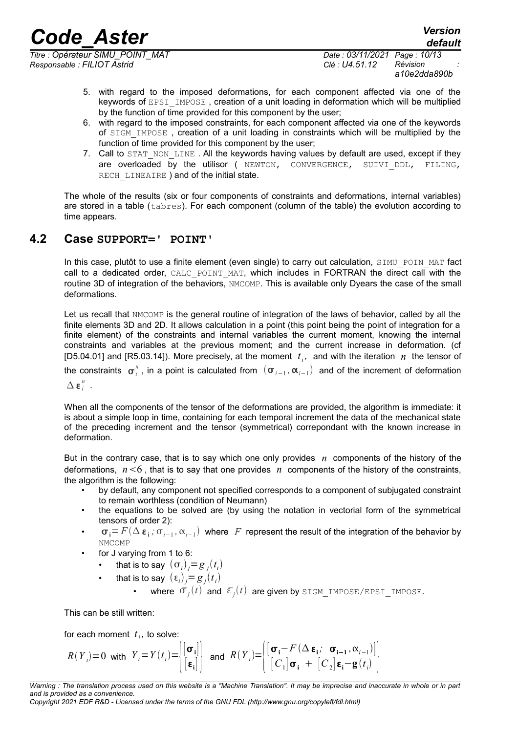*Titre : Opérateur SIMU\_POINT\_MAT Date : 03/11/2021 Page : 10/13 Responsable : FILIOT Astrid Clé : U4.51.12 Révision :*

*a10e2dda890b*

*default*

- 5. with regard to the imposed deformations, for each component affected via one of the keywords of EPSI IMPOSE, creation of a unit loading in deformation which will be multiplied by the function of time provided for this component by the user;
- 6. with regard to the imposed constraints, for each component affected via one of the keywords of SIGM\_IMPOSE , creation of a unit loading in constraints which will be multiplied by the function of time provided for this component by the user:
- 7. Call to STAT NON LINE . All the keywords having values by default are used, except if they are overloaded by the utilisor ( NEWTON, CONVERGENCE, SUIVI DDL, FILING, RECH LINEAIRE ) and of the initial state.

The whole of the results (six or four components of constraints and deformations, internal variables) are stored in a table (tabres). For each component (column of the table) the evolution according to time appears.

#### **4.2 Case SUPPORT=' POINT'**

<span id="page-9-0"></span>In this case, plutôt to use a finite element (even single) to carry out calculation, SIMU\_POIN\_MAT fact call to a dedicated order, CALC POINT MAT, which includes in FORTRAN the direct call with the routine 3D of integration of the behaviors. NMCOMP. This is available only Dyears the case of the small deformations.

Let us recall that NMCOMP is the general routine of integration of the laws of behavior, called by all the finite elements 3D and 2D. It allows calculation in a point (this point being the point of integration for a finite element) of the constraints and internal variables the current moment, knowing the internal constraints and variables at the previous moment; and the current increase in deformation. (cf [D5.04.01] and [R5.03.14]). More precisely, at the moment  $t_i$ , and with the iteration  $n$  the tensor of the constraints  $\sigma_i^n$ , in a point is calculated from  $(\sigma_{i-1},\alpha_{i-1})$  and of the increment of deformation

 $\Delta$   $\boldsymbol{\varepsilon}_i^n$  .

When all the components of the tensor of the deformations are provided, the algorithm is immediate: it is about a simple loop in time, containing for each temporal increment the data of the mechanical state of the preceding increment and the tensor (symmetrical) correpondant with the known increase in deformation.

But in the contrary case, that is to say which one only provides *n* components of the history of the deformations,  $n<6$ , that is to say that one provides  $n$  components of the history of the constraints, the algorithm is the following:

- by default, any component not specified corresponds to a component of subjugated constraint to remain worthless (condition of Neumann)
- the equations to be solved are (by using the notation in vectorial form of the symmetrical tensors of order 2):
- **• i**  $\sigma$ <sub>**i**</sub> = *F* (Δε<sub>**i**</sub>;  $\sigma$ <sub>*i*−1</sub>, α<sub>*i*−1</sub>) where *F* represent the result of the integration of the behavior by NMCOMP
- for J varying from 1 to 6:
	- that is to say  $(\sigma_i)_j = g_j(t_i)$
	- that is to say  $(\epsilon_i)_j = g_j(t_i)$ 
		- where  $\bar{\sigma}_j(t)$  and  $\bar{\epsilon}_j(t)$  are given by <code>SIGM\_IMPOSE/EPSI\_IMPOSE.</code>

This can be still written:

for each moment  $t_i$ , to solve:

$$
R(Y_i)=0 \text{ with } Y_i = Y(t_i) = \begin{bmatrix} [\sigma_i] \\ [\epsilon_i] \end{bmatrix} \text{ and } R(Y_i) = \begin{bmatrix} [\sigma_i - F(\Delta \epsilon_i; \sigma_{i-1}, \alpha_{i-1})] \\ [C_1] \sigma_i + [C_2] \epsilon_i - \mathbf{g}(t_i) \end{bmatrix}
$$

*Copyright 2021 EDF R&D - Licensed under the terms of the GNU FDL (http://www.gnu.org/copyleft/fdl.html)*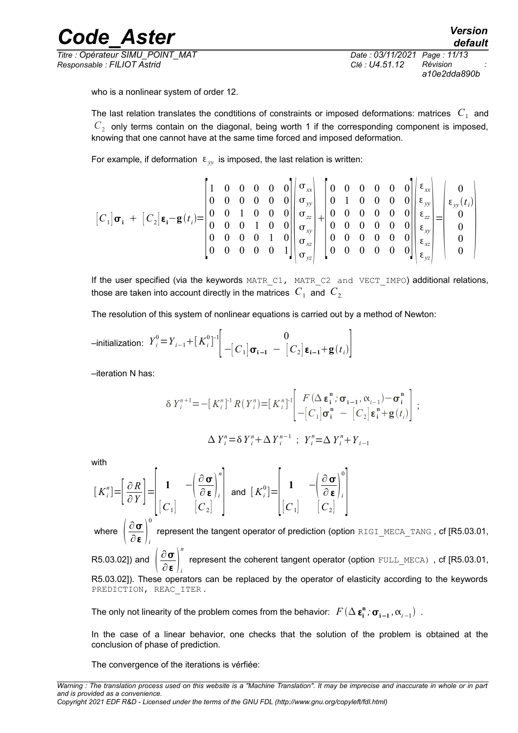*Titre : Opérateur SIMU\_POINT\_MAT Date : 03/11/2021 Page : 11/13 Responsable : FILIOT Astrid Clé : U4.51.12 Révision :*

*default*

*a10e2dda890b*

who is a nonlinear system of order 12.

The last relation translates the condtitions of constraints or imposed deformations: matrices  $|C_{1}|$  and  $C_2$  only terms contain on the diagonal, being worth 1 if the corresponding component is imposed, knowing that one cannot have at the same time forced and imposed deformation.

For example, if deformation  $\epsilon_{w}$  is imposed, the last relation is written:

$$
\begin{bmatrix}\nC_1\n\end{bmatrix}\n\sigma_i\n+ [C_2]\varepsilon_i-\mathbf{g}(t_i)\n=\n\begin{bmatrix}\n1 & 0 & 0 & 0 & 0 & 0 \\
0 & 0 & 0 & 0 & 0 & 0 \\
0 & 0 & 1 & 0 & 0 & 0 \\
0 & 0 & 0 & 1 & 0 & 0 \\
0 & 0 & 0 & 0 & 1 & 0 \\
0 & 0 & 0 & 0 & 0 & 1\n\end{bmatrix}\n\begin{bmatrix}\n\sigma_{xx} \\
\sigma_{yy} \\
\sigma_{zz} \\
\sigma_{xy} \\
\sigma_{yz} \\
\sigma_{yz}\n\end{bmatrix} +\n\begin{bmatrix}\n0 & 0 & 0 & 0 & 0 & 0 \\
0 & 1 & 0 & 0 & 0 & 0 \\
0 & 0 & 0 & 0 & 0 & 0 \\
0 & 0 & 0 & 0 & 0 & 0 \\
0 & 0 & 0 & 0 & 0 & 0 \\
0 & 0 & 0 & 0 & 0 & 0\n\end{bmatrix}\n\begin{bmatrix}\n\varepsilon_{xx} \\
\varepsilon_{yy} \\
\varepsilon_{zz} \\
\varepsilon_{xy} \\
\varepsilon_{yz} \\
\varepsilon_{yz} \\
0 \\
0\n\end{bmatrix} =\n\begin{bmatrix}\n0 \\
\varepsilon_{yy}(t_i) \\
0 \\
0 \\
0 \\
0 \\
0\n\end{bmatrix}
$$

If the user specified (via the keywords MATR C1, MATR C2 and VECT IMPO) additional relations, those are taken into account directly in the matrices  $|C_{1}|$  and  $|C_{2}|$ 

The resolution of this system of nonlinear equations is carried out by a method of Newton:

$$
\text{-initialization: } Y_i^0 = Y_{i-1} + [K_i^0]^{-1} \left[ \begin{array}{cc} 0 \\ -[C_1] \sigma_{i-1} - [C_2] \epsilon_{i-1} + g(t_i) \end{array} \right]
$$

–iteration N has:

$$
\delta Y_{i}^{n+1} = -[K_{i}^{n}]^{1} R(Y_{i}^{n}) = [K_{i}^{n}]^{1} \left[ \begin{array}{cc} F(\Delta \varepsilon_{i}^{n}; \sigma_{i-1}, \alpha_{i-1}) - \sigma_{i}^{n} \\ -[C_{1}] \sigma_{i}^{n} - [C_{2}] \varepsilon_{i}^{n} + g(t_{i}) \end{array} \right];
$$
  

$$
\Delta Y_{i}^{n} = \delta Y_{i}^{n} + \Delta Y_{i}^{n-1} ; Y_{i}^{n} = \Delta Y_{i}^{n} + Y_{i-1}
$$

with

$$
\begin{bmatrix} K_i^n \end{bmatrix} = \begin{bmatrix} \frac{\partial R}{\partial Y} \end{bmatrix} = \begin{bmatrix} 1 & -\left(\frac{\partial \sigma}{\partial \boldsymbol{\epsilon}}\right)_i^n \\ \begin{bmatrix} C_1 \end{bmatrix} & \begin{bmatrix} C_2 \end{bmatrix} \end{bmatrix} \text{ and } \begin{bmatrix} K_i^0 \end{bmatrix} = \begin{bmatrix} 1 & -\left(\frac{\partial \sigma}{\partial \boldsymbol{\epsilon}}\right)_i^0 \\ \begin{bmatrix} C_1 \end{bmatrix} & \begin{bmatrix} C_2 \end{bmatrix} \end{bmatrix}
$$

where  $\left|\frac{\partial \mathbf{\sigma}}{\partial \mathbf{\epsilon}}\right|$  $\overline{\partial}$  **ε**  $\big|$ <sub>*i*</sub> 0 represent the tangent operator of prediction (option RIGI\_MECA\_TANG, cf [R5.03.01, R5.03.02]) and  $\left(\frac{\partial \, {\bm \sigma}}{\partial \, {\bm \epsilon}}\right)$ *n* represent the coherent tangent operator (option FULL MECA), cf [R5.03.01,

 $\overline{\partial}$  **ε**  $\big|$ <sub>*i*</sub> R5.03.02]). These operators can be replaced by the operator of elasticity according to the keywords PREDICTION, REAC ITER.

The only not linearity of the problem comes from the behavior:  $\ F(\Delta\bm{\varepsilon_i^n}$  ;  $\bm{\sigma_{i-1}}$  ,  $\bm{\alpha}_{i-1})$  .

In the case of a linear behavior, one checks that the solution of the problem is obtained at the conclusion of phase of prediction.

The convergence of the iterations is vérfiée: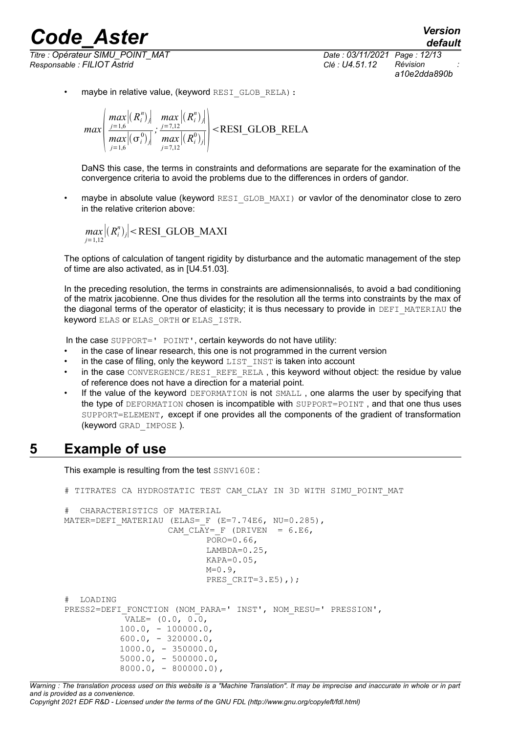*Titre : Opérateur SIMU\_POINT\_MAT Date : 03/11/2021 Page : 12/13 Responsable : FILIOT Astrid Clé : U4.51.12 Révision :*

*a10e2dda890b*

• maybe in relative value, (keyword RESI GLOB RELA):

*max max* $|(R_i^n)_j|$ *j*=1,6 *max* $|(\sigma_i^0)_j|$ *j*=1,6 *; max*  $|(R_i^n)_j|$ *j*=7,12 *max* <sup>∣</sup>*R<sup>i</sup> j*=7,12 0 *j*∣ RESI\_GLOB\_RELA

DaNS this case, the terms in constraints and deformations are separate for the examination of the convergence criteria to avoid the problems due to the differences in orders of gandor.

• maybe in absolute value (keyword RESI GLOB MAXI) or vavlor of the denominator close to zero in the relative criterion above:

$$
\max_{j=1,12} |(R_i^n)_j| < \text{RESI_GLOB\_MAXI}
$$

The options of calculation of tangent rigidity by disturbance and the automatic management of the step of time are also activated, as in [U4.51.03].

In the preceding resolution, the terms in constraints are adimensionnalisés, to avoid a bad conditioning of the matrix jacobienne. One thus divides for the resolution all the terms into constraints by the max of the diagonal terms of the operator of elasticity; it is thus necessary to provide in DEFI\_MATERIAU the keyword ELAS or ELAS\_ORTH or ELAS\_ISTR.

In the case SUPPORT=' POINT', certain keywords do not have utility:

- in the case of linear research, this one is not programmed in the current version
- $\cdot$  in the case of filing, only the keyword LIST INST is taken into account
- in the case CONVERGENCE/RESI\_REFE\_RELA, this keyword without object: the residue by value of reference does not have a direction for a material point.
- If the value of the keyword DEFORMATION is not SMALL, one alarms the user by specifying that the type of DEFORMATION chosen is incompatible with SUPPORT=POINT , and that one thus uses SUPPORT=ELEMENT, except if one provides all the components of the gradient of transformation (keyword GRAD\_IMPOSE ).

## **5 Example of use**

This example is resulting from the test SSNV160E :

```
# TITRATES CA HYDROSTATIC TEST CAM_CLAY IN 3D WITH SIMU_POINT_MAT
# CHARACTERISTICS OF MATERIAL
MATER=DEFI_MATERIAU (ELAS= F (E=7.74E6, NU=0.285),
                   CAM CLAY= F (DRIVEN = 6.E6,
                           PORO=0.66,
                          LAMBDA=0.25,
                          KAPA=0.05,
                          M=0.9.
                          PRES CRIT=3.E5),);
# LOADING
PRESS2=DEFI_FONCTION (NOM_PARA=' INST', NOM_RESU=' PRESSION',
            VALE= (0.0, 0.0,
          100.0, - 100000.0,600.0, -320000.0,1000.0, -350000.0,5000.0, -500000.0,8000.0, - 800000.0,
```
*Warning : The translation process used on this website is a "Machine Translation". It may be imprecise and inaccurate in whole or in part and is provided as a convenience. Copyright 2021 EDF R&D - Licensed under the terms of the GNU FDL (http://www.gnu.org/copyleft/fdl.html)*